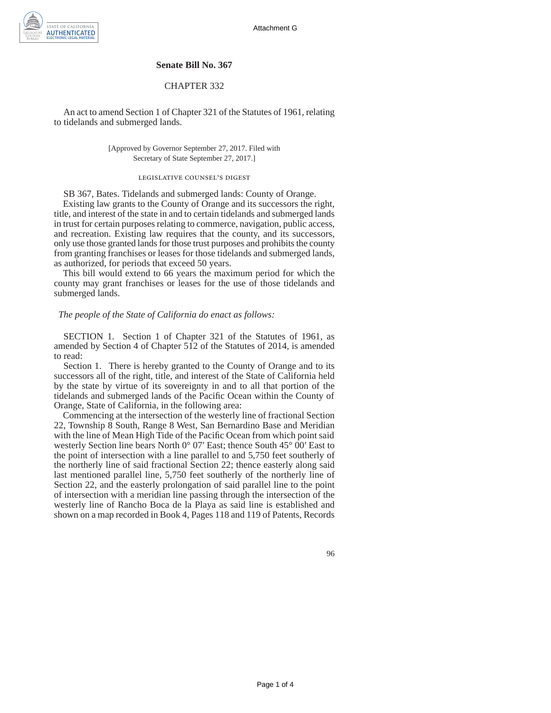

## **Senate Bill No. 367**

## CHAPTER 332

An act to amend Section 1 of Chapter 321 of the Statutes of 1961, relating to tidelands and submerged lands.

> [Approved by Governor September 27, 2017. Filed with Secretary of State September 27, 2017.]

## legislative counsel's digest

SB 367, Bates. Tidelands and submerged lands: County of Orange. Existing law grants to the County of Orange and its successors the right, title, and interest of the state in and to certain tidelands and submerged lands in trust for certain purposes relating to commerce, navigation, public access, and recreation. Existing law requires that the county, and its successors, only use those granted lands for those trust purposes and prohibits the county from granting franchises or leases for those tidelands and submerged lands, as authorized, for periods that exceed 50 years.

This bill would extend to 66 years the maximum period for which the county may grant franchises or leases for the use of those tidelands and submerged lands.

## *The people of the State of California do enact as follows:*

SECTION 1. Section 1 of Chapter 321 of the Statutes of 1961, as amended by Section 4 of Chapter 512 of the Statutes of 2014, is amended to read:

Section 1. There is hereby granted to the County of Orange and to its successors all of the right, title, and interest of the State of California held by the state by virtue of its sovereignty in and to all that portion of the tidelands and submerged lands of the Pacific Ocean within the County of Orange, State of California, in the following area:

Commencing at the intersection of the westerly line of fractional Section 22, Township 8 South, Range 8 West, San Bernardino Base and Meridian with the line of Mean High Tide of the Pacific Ocean from which point said westerly Section line bears North 0° 07′ East; thence South 45° 00′ East to the point of intersection with a line parallel to and 5,750 feet southerly of the northerly line of said fractional Section 22; thence easterly along said last mentioned parallel line, 5,750 feet southerly of the northerly line of Section 22, and the easterly prolongation of said parallel line to the point of intersection with a meridian line passing through the intersection of the westerly line of Rancho Boca de la Playa as said line is established and shown on a map recorded in Book 4, Pages 118 and 119 of Patents, Records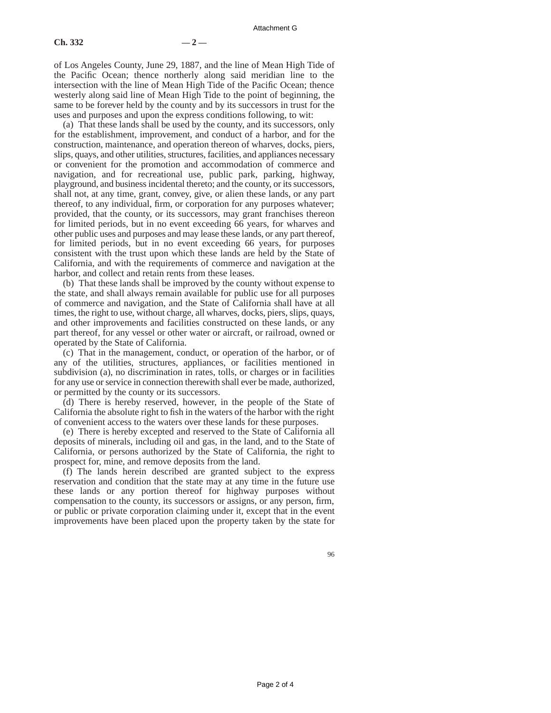(a) That these lands shall be used by the county, and its successors, only for the establishment, improvement, and conduct of a harbor, and for the construction, maintenance, and operation thereon of wharves, docks, piers, slips, quays, and other utilities, structures, facilities, and appliances necessary or convenient for the promotion and accommodation of commerce and navigation, and for recreational use, public park, parking, highway, playground, and business incidental thereto; and the county, or its successors, shall not, at any time, grant, convey, give, or alien these lands, or any part thereof, to any individual, firm, or corporation for any purposes whatever; provided, that the county, or its successors, may grant franchises thereon for limited periods, but in no event exceeding 66 years, for wharves and other public uses and purposes and may lease these lands, or any part thereof, for limited periods, but in no event exceeding 66 years, for purposes consistent with the trust upon which these lands are held by the State of California, and with the requirements of commerce and navigation at the harbor, and collect and retain rents from these leases.

(b) That these lands shall be improved by the county without expense to the state, and shall always remain available for public use for all purposes of commerce and navigation, and the State of California shall have at all times, the right to use, without charge, all wharves, docks, piers, slips, quays, and other improvements and facilities constructed on these lands, or any part thereof, for any vessel or other water or aircraft, or railroad, owned or operated by the State of California.

(c) That in the management, conduct, or operation of the harbor, or of any of the utilities, structures, appliances, or facilities mentioned in subdivision (a), no discrimination in rates, tolls, or charges or in facilities for any use or service in connection therewith shall ever be made, authorized, or permitted by the county or its successors.

(d) There is hereby reserved, however, in the people of the State of California the absolute right to fish in the waters of the harbor with the right of convenient access to the waters over these lands for these purposes.

(e) There is hereby excepted and reserved to the State of California all deposits of minerals, including oil and gas, in the land, and to the State of California, or persons authorized by the State of California, the right to prospect for, mine, and remove deposits from the land.

(f) The lands herein described are granted subject to the express reservation and condition that the state may at any time in the future use these lands or any portion thereof for highway purposes without compensation to the county, its successors or assigns, or any person, firm, or public or private corporation claiming under it, except that in the event improvements have been placed upon the property taken by the state for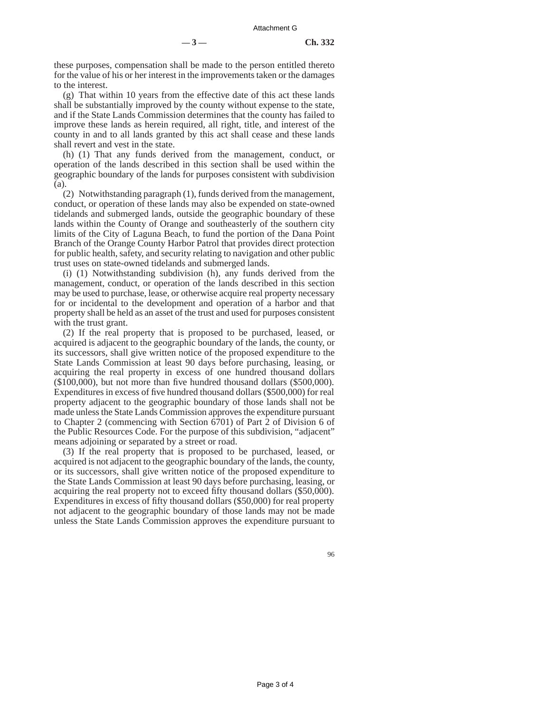these purposes, compensation shall be made to the person entitled thereto for the value of his or her interest in the improvements taken or the damages to the interest.

(g) That within 10 years from the effective date of this act these lands shall be substantially improved by the county without expense to the state, and if the State Lands Commission determines that the county has failed to improve these lands as herein required, all right, title, and interest of the county in and to all lands granted by this act shall cease and these lands shall revert and vest in the state.

(h) (1) That any funds derived from the management, conduct, or operation of the lands described in this section shall be used within the geographic boundary of the lands for purposes consistent with subdivision (a).

(2) Notwithstanding paragraph (1), funds derived from the management, conduct, or operation of these lands may also be expended on state-owned tidelands and submerged lands, outside the geographic boundary of these lands within the County of Orange and southeasterly of the southern city limits of the City of Laguna Beach, to fund the portion of the Dana Point Branch of the Orange County Harbor Patrol that provides direct protection for public health, safety, and security relating to navigation and other public trust uses on state-owned tidelands and submerged lands.

(i) (1) Notwithstanding subdivision (h), any funds derived from the management, conduct, or operation of the lands described in this section may be used to purchase, lease, or otherwise acquire real property necessary for or incidental to the development and operation of a harbor and that property shall be held as an asset of the trust and used for purposes consistent with the trust grant.

(2) If the real property that is proposed to be purchased, leased, or acquired is adjacent to the geographic boundary of the lands, the county, or its successors, shall give written notice of the proposed expenditure to the State Lands Commission at least 90 days before purchasing, leasing, or acquiring the real property in excess of one hundred thousand dollars (\$100,000), but not more than five hundred thousand dollars (\$500,000). Expenditures in excess of five hundred thousand dollars (\$500,000) for real property adjacent to the geographic boundary of those lands shall not be made unless the State Lands Commission approves the expenditure pursuant to Chapter 2 (commencing with Section 6701) of Part 2 of Division 6 of the Public Resources Code. For the purpose of this subdivision, "adjacent" means adjoining or separated by a street or road.

(3) If the real property that is proposed to be purchased, leased, or acquired is not adjacent to the geographic boundary of the lands, the county, or its successors, shall give written notice of the proposed expenditure to the State Lands Commission at least 90 days before purchasing, leasing, or acquiring the real property not to exceed fifty thousand dollars (\$50,000). Expenditures in excess of fifty thousand dollars (\$50,000) for real property not adjacent to the geographic boundary of those lands may not be made unless the State Lands Commission approves the expenditure pursuant to